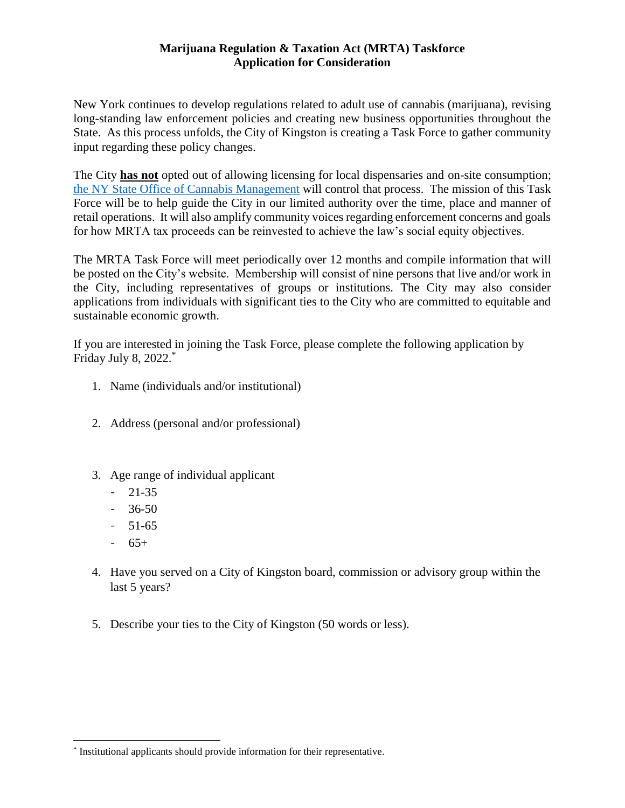## **Marijuana Regulation & Taxation Act (MRTA) Taskforce Application for Consideration**

New York continues to develop regulations related to adult use of cannabis (marijuana), revising long-standing law enforcement policies and creating new business opportunities throughout the State. As this process unfolds, the City of Kingston is creating a Task Force to gather community input regarding these policy changes.

The City **has not** opted out of allowing licensing for local dispensaries and on-site consumption; [the NY State Office of Cannabis Management](https://cannabis.ny.gov/system/files/documents/2021/09/cannabis-management-fact-sheet-9-21-local-government-06.pdf) will control that process. The mission of this Task Force will be to help guide the City in our limited authority over the time, place and manner of retail operations. It will also amplify community voices regarding enforcement concerns and goals for how MRTA tax proceeds can be reinvested to achieve the law's social equity objectives.

The MRTA Task Force will meet periodically over 12 months and compile information that will be posted on the City's website. Membership will consist of nine persons that live and/or work in the City, including representatives of groups or institutions. The City may also consider applications from individuals with significant ties to the City who are committed to equitable and sustainable economic growth.

If you are interested in joining the Task Force, please complete the following application by Friday July 8, 2022. \*

- 1. Name (individuals and/or institutional)
- 2. Address (personal and/or professional)
- 3. Age range of individual applicant
	- $21 35$
	- $-36-50$
	- 51-65
	- $-65+$

 $\overline{\phantom{a}}$ 

- 4. Have you served on a City of Kingston board, commission or advisory group within the last 5 years?
- 5. Describe your ties to the City of Kingston (50 words or less).

<sup>\*</sup> Institutional applicants should provide information for their representative.